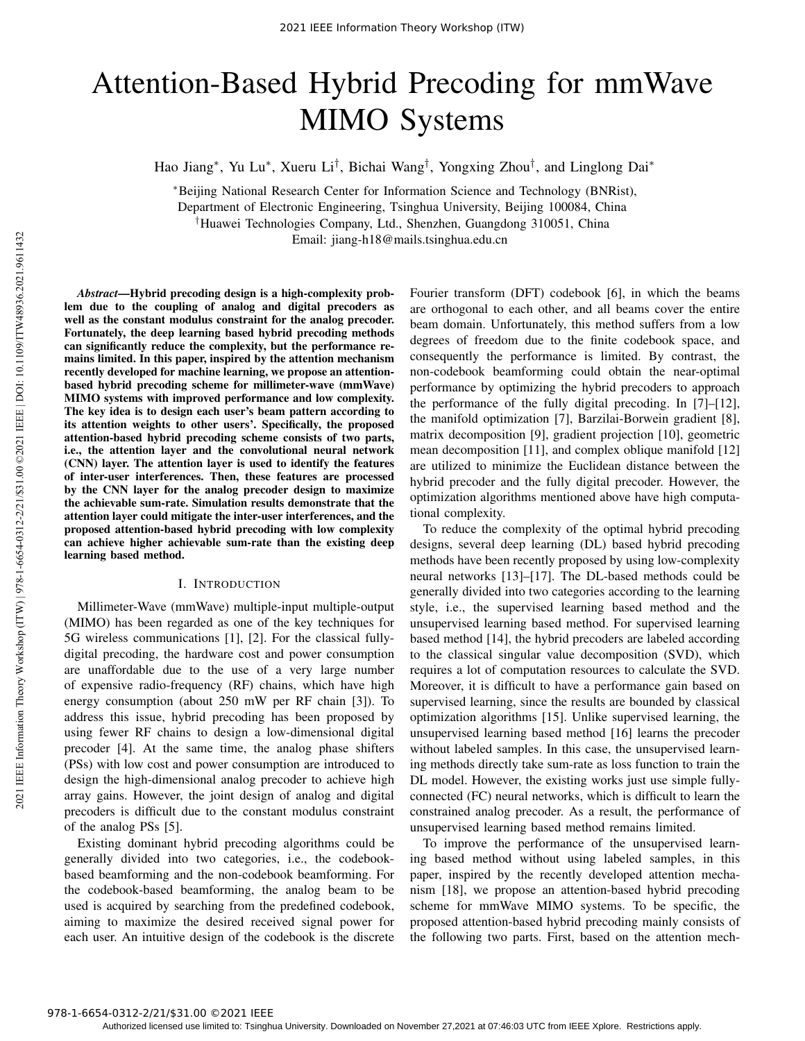# Attention-Based Hybrid Precoding for mmWave MIMO Systems

Hao Jiang\*, Yu Lu\*, Xueru Li<sup>†</sup>, Bichai Wang<sup>†</sup>, Yongxing Zhou<sup>†</sup>, and Linglong Dai\*

<sup>∗</sup>Beijing National Research Center for Information Science and Technology (BNRist),

Department of Electronic Engineering, Tsinghua University, Beijing 100084, China

†Huawei Technologies Company, Ltd., Shenzhen, Guangdong 310051, China

Email: jiang-h18@mails.tsinghua.edu.cn

*Abstract*—Hybrid precoding design is a high-complexity problem due to the coupling of analog and digital precoders as well as the constant modulus constraint for the analog precoder. Fortunately, the deep learning based hybrid precoding methods can significantly reduce the complexity, but the performance remains limited. In this paper, inspired by the attention mechanism recently developed for machine learning, we propose an attentionbased hybrid precoding scheme for millimeter-wave (mmWave) MIMO systems with improved performance and low complexity. The key idea is to design each user's beam pattern according to its attention weights to other users'. Specifically, the proposed attention-based hybrid precoding scheme consists of two parts, i.e., the attention layer and the convolutional neural network (CNN) layer. The attention layer is used to identify the features of inter-user interferences. Then, these features are processed by the CNN layer for the analog precoder design to maximize the achievable sum-rate. Simulation results demonstrate that the attention layer could mitigate the inter-user interferences, and the proposed attention-based hybrid precoding with low complexity can achieve higher achievable sum-rate than the existing deep learning based method.

## I. INTRODUCTION

Millimeter-Wave (mmWave) multiple-input multiple-output (MIMO) has been regarded as one of the key techniques for 5G wireless communications [1], [2]. For the classical fullydigital precoding, the hardware cost and power consumption are unaffordable due to the use of a very large number of expensive radio-frequency (RF) chains, which have high energy consumption (about 250 mW per RF chain [3]). To address this issue, hybrid precoding has been proposed by using fewer RF chains to design a low-dimensional digital precoder [4]. At the same time, the analog phase shifters (PSs) with low cost and power consumption are introduced to design the high-dimensional analog precoder to achieve high array gains. However, the joint design of analog and digital precoders is difficult due to the constant modulus constraint of the analog PSs [5].

Existing dominant hybrid precoding algorithms could be generally divided into two categories, i.e., the codebookbased beamforming and the non-codebook beamforming. For the codebook-based beamforming, the analog beam to be used is acquired by searching from the predefined codebook, aiming to maximize the desired received signal power for each user. An intuitive design of the codebook is the discrete

Fourier transform (DFT) codebook [6], in which the beams are orthogonal to each other, and all beams cover the entire beam domain. Unfortunately, this method suffers from a low degrees of freedom due to the finite codebook space, and consequently the performance is limited. By contrast, the non-codebook beamforming could obtain the near-optimal performance by optimizing the hybrid precoders to approach the performance of the fully digital precoding. In [7]–[12], the manifold optimization [7], Barzilai-Borwein gradient [8], matrix decomposition [9], gradient projection [10], geometric mean decomposition [11], and complex oblique manifold [12] are utilized to minimize the Euclidean distance between the hybrid precoder and the fully digital precoder. However, the optimization algorithms mentioned above have high computational complexity.

To reduce the complexity of the optimal hybrid precoding designs, several deep learning (DL) based hybrid precoding methods have been recently proposed by using low-complexity neural networks [13]–[17]. The DL-based methods could be generally divided into two categories according to the learning style, i.e., the supervised learning based method and the unsupervised learning based method. For supervised learning based method [14], the hybrid precoders are labeled according to the classical singular value decomposition (SVD), which requires a lot of computation resources to calculate the SVD. Moreover, it is difficult to have a performance gain based on supervised learning, since the results are bounded by classical optimization algorithms [15]. Unlike supervised learning, the unsupervised learning based method [16] learns the precoder without labeled samples. In this case, the unsupervised learning methods directly take sum-rate as loss function to train the DL model. However, the existing works just use simple fullyconnected (FC) neural networks, which is difficult to learn the constrained analog precoder. As a result, the performance of unsupervised learning based method remains limited.

To improve the performance of the unsupervised learning based method without using labeled samples, in this paper, inspired by the recently developed attention mechanism [18], we propose an attention-based hybrid precoding scheme for mmWave MIMO systems. To be specific, the proposed attention-based hybrid precoding mainly consists of the following two parts. First, based on the attention mech-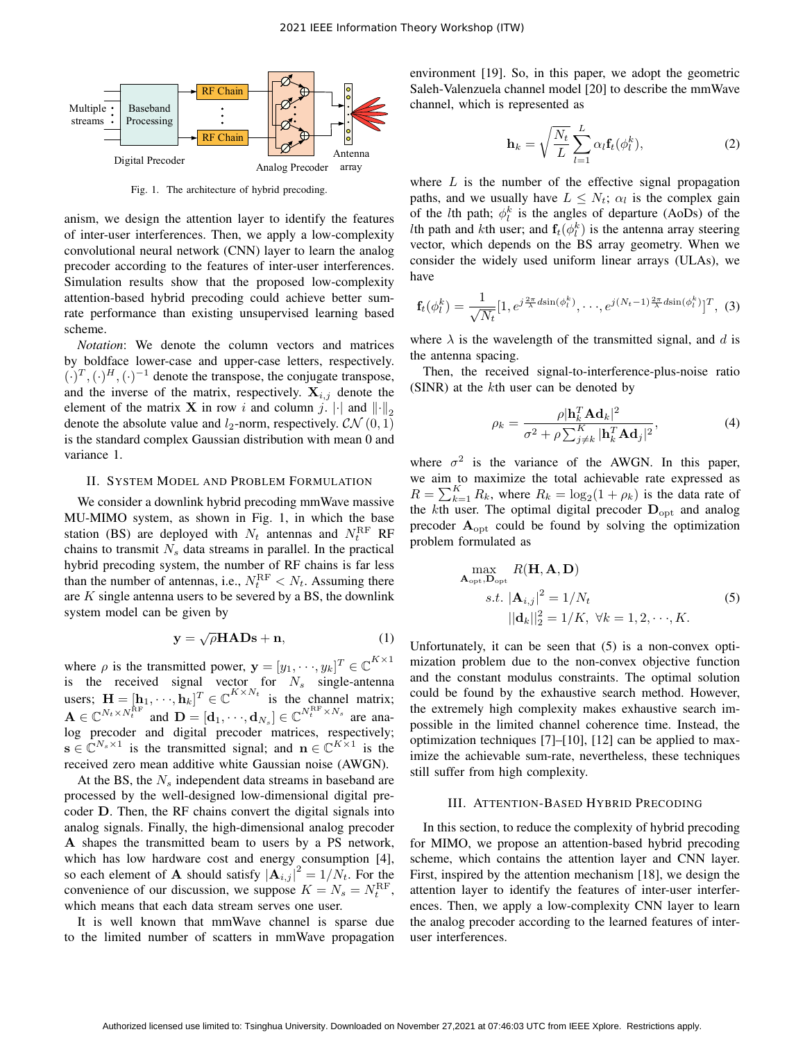

Fig. 1. The architecture of hybrid precoding.

anism, we design the attention layer to identify the features of inter-user interferences. Then, we apply a low-complexity convolutional neural network (CNN) layer to learn the analog precoder according to the features of inter-user interferences. Simulation results show that the proposed low-complexity attention-based hybrid precoding could achieve better sumrate performance than existing unsupervised learning based scheme.

*Notation*: We denote the column vectors and matrices by boldface lower-case and upper-case letters, respectively.  $(\cdot)^T, (\cdot)^H, (\cdot)^{-1}$  denote the transpose, the conjugate transpose, and the inverse of the matrix, respectively.  $X_{i,j}$  denote the element of the matrix **X** in row i and column j.  $\|\cdot\|_2$ denote the absolute value and  $l_2$ -norm, respectively.  $\mathcal{CN}(0, 1)$ is the standard complex Gaussian distribution with mean 0 and variance 1.

#### II. SYSTEM MODEL AND PROBLEM FORMULATION

We consider a downlink hybrid precoding mmWave massive MU-MIMO system, as shown in Fig. 1, in which the base station (BS) are deployed with  $N_t$  antennas and  $N_t^{\text{RF}}$  RF chains to transmit  $N_s$  data streams in parallel. In the practical hybrid precoding system, the number of RF chains is far less than the number of antennas, i.e.,  $N_t^{\text{RF}} < N_t$ . Assuming there are  $K$  single antenna users to be severed by a BS, the downlink system model can be given by

$$
y = \sqrt{\rho} HADs + n,\tag{1}
$$

where  $\rho$  is the transmitted power,  $\mathbf{y} = [y_1, \dots, y_k]^T \in \mathbb{C}^{K \times 1}$ is the received signal vector for  $N_s$  single-antenna users;  $\mathbf{H} = [\mathbf{h}_1, \cdots, \mathbf{h}_k]^T \in \mathbb{C}^{K \times N_t}$  is the channel matrix;  $\mathbf{A} \in \mathbb{C}^{N_t \times N_t^{\text{RF}}}$  and  $\mathbf{D} = [\mathbf{d}_1, \cdots, \mathbf{d}_{N_s}] \in \mathbb{C}^{N_t^{\text{RF}} \times N_s}$  are analog precoder and digital precoder matrices, respectively;  $\mathbf{s} \in \mathbb{C}^{N_s \times 1}$  is the transmitted signal; and  $\mathbf{n} \in \mathbb{C}^{K \times 1}$  is the received zero mean additive white Gaussian noise (AWGN).

At the BS, the  $N<sub>s</sub>$  independent data streams in baseband are processed by the well-designed low-dimensional digital precoder D. Then, the RF chains convert the digital signals into analog signals. Finally, the high-dimensional analog precoder A shapes the transmitted beam to users by a PS network, which has low hardware cost and energy consumption [4], so each element of **A** should satisfy  $|\mathbf{A}_{i,j}|^2 = 1/N_t$ . For the convenience of our discussion, we suppose  $K = N_s = N_t^{\text{RF}}$ , which means that each data stream serves one user.

It is well known that mmWave channel is sparse due to the limited number of scatters in mmWave propagation environment [19]. So, in this paper, we adopt the geometric Saleh-Valenzuela channel model [20] to describe the mmWave channel, which is represented as

$$
\mathbf{h}_k = \sqrt{\frac{N_t}{L}} \sum_{l=1}^{L} \alpha_l \mathbf{f}_t(\phi_l^k), \tag{2}
$$

where  $L$  is the number of the effective signal propagation paths, and we usually have  $L \leq N_t$ ;  $\alpha_l$  is the complex gain of the *l*th path;  $\phi_l^k$  is the angles of departure (AoDs) of the *l*th path and *k*th user; and  $f_t(\phi_i^k)$  is the antenna array steering vector, which depends on the BS array geometry. When we consider the widely used uniform linear arrays (ULAs), we have

$$
\mathbf{f}_t(\phi_t^k) = \frac{1}{\sqrt{N_t}} [1, e^{j\frac{2\pi}{\lambda} d\sin(\phi_t^k)}, \cdots, e^{j(N_t-1)\frac{2\pi}{\lambda} d\sin(\phi_t^k)}]^T, (3)
$$

where  $\lambda$  is the wavelength of the transmitted signal, and d is the antenna spacing.

Then, the received signal-to-interference-plus-noise ratio (SINR) at the kth user can be denoted by

$$
\rho_k = \frac{\rho |\mathbf{h}_k^T \mathbf{A} \mathbf{d}_k|^2}{\sigma^2 + \rho \sum_{j \neq k}^K |\mathbf{h}_k^T \mathbf{A} \mathbf{d}_j|^2},\tag{4}
$$

where  $\sigma^2$  is the variance of the AWGN. In this paper, we aim to maximize the total achievable rate expressed as  $R = \sum_{k=1}^{K} R_k$ , where  $R_k = \log_2(1 + \rho_k)$  is the data rate of the kth user. The optimal digital precoder  $D_{\text{opt}}$  and analog precoder  $A<sub>opt</sub>$  could be found by solving the optimization problem formulated as

$$
\max_{\mathbf{A}_{\text{opt}}, \mathbf{D}_{\text{opt}}} R(\mathbf{H}, \mathbf{A}, \mathbf{D})
$$
  
s.t.  $|\mathbf{A}_{i,j}|^2 = 1/N_t$   

$$
||\mathbf{d}_k||_2^2 = 1/K, \ \forall k = 1, 2, \cdots, K.
$$
 (5)

Unfortunately, it can be seen that (5) is a non-convex optimization problem due to the non-convex objective function and the constant modulus constraints. The optimal solution could be found by the exhaustive search method. However, the extremely high complexity makes exhaustive search impossible in the limited channel coherence time. Instead, the optimization techniques [7]–[10], [12] can be applied to maximize the achievable sum-rate, nevertheless, these techniques still suffer from high complexity.

#### III. ATTENTION-BASED HYBRID PRECODING

In this section, to reduce the complexity of hybrid precoding for MIMO, we propose an attention-based hybrid precoding scheme, which contains the attention layer and CNN layer. First, inspired by the attention mechanism [18], we design the attention layer to identify the features of inter-user interferences. Then, we apply a low-complexity CNN layer to learn the analog precoder according to the learned features of interuser interferences.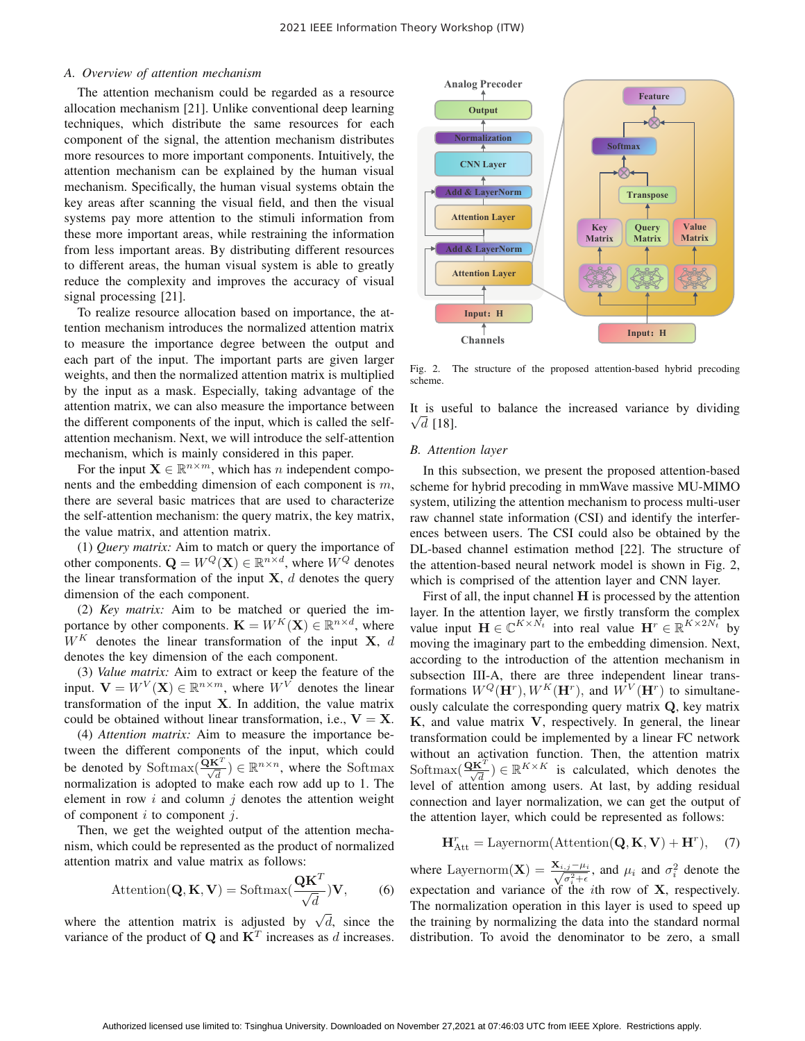# *A. Overview of attention mechanism*

The attention mechanism could be regarded as a resource allocation mechanism [21]. Unlike conventional deep learning techniques, which distribute the same resources for each component of the signal, the attention mechanism distributes more resources to more important components. Intuitively, the attention mechanism can be explained by the human visual mechanism. Specifically, the human visual systems obtain the key areas after scanning the visual field, and then the visual systems pay more attention to the stimuli information from these more important areas, while restraining the information from less important areas. By distributing different resources to different areas, the human visual system is able to greatly reduce the complexity and improves the accuracy of visual signal processing [21].

To realize resource allocation based on importance, the attention mechanism introduces the normalized attention matrix to measure the importance degree between the output and each part of the input. The important parts are given larger weights, and then the normalized attention matrix is multiplied by the input as a mask. Especially, taking advantage of the attention matrix, we can also measure the importance between the different components of the input, which is called the selfattention mechanism. Next, we will introduce the self-attention mechanism, which is mainly considered in this paper.

For the input  $\mathbf{X} \in \mathbb{R}^{n \times m}$ , which has *n* independent components and the embedding dimension of each component is  $m$ , there are several basic matrices that are used to characterize the self-attention mechanism: the query matrix, the key matrix, the value matrix, and attention matrix.

(1) *Query matrix:* Aim to match or query the importance of other components.  $\mathbf{Q} = W^Q(\mathbf{X}) \in \mathbb{R}^{n \times d}$ , where  $W^Q$  denotes the linear transformation of the input  $X$ ,  $d$  denotes the query dimension of the each component.

(2) *Key matrix:* Aim to be matched or queried the importance by other components.  $\mathbf{K} = W^K(\mathbf{X}) \in \mathbb{R}^{n \times d}$ , where  $W^K$  denotes the linear transformation of the input **X**, d denotes the key dimension of the each component.

(3) *Value matrix:* Aim to extract or keep the feature of the input.  $V = W^V(X) \in \mathbb{R}^{n \times m}$ , where  $W^V$  denotes the linear transformation of the input **X**. In addition, the value matrix could be obtained without linear transformation, i.e.,  $V = X$ .

(4) *Attention matrix:* Aim to measure the importance between the different components of the input, which could be denoted by  $\text{Softmax}(\frac{\mathbf{\tilde{Q}K}}{\sqrt{d}}) \in \mathbb{R}^{n \times n}$ , where the Softmax normalization is adopted to make each row add up to 1. The element in row  $i$  and column  $j$  denotes the attention weight of component  $i$  to component  $j$ .

Then, we get the weighted output of the attention mechanism, which could be represented as the product of normalized attention matrix and value matrix as follows:

$$
Attention(\mathbf{Q}, \mathbf{K}, \mathbf{V}) = Softmax(\frac{\mathbf{Q}\mathbf{K}^T}{\sqrt{d}})\mathbf{V},
$$
 (6)

where the attention matrix is adjusted by  $\sqrt{d}$ , since the variance of the product of  $\mathbf{Q}$  and  $\mathbf{K}^T$  increases as d increases.



Fig. 2. The structure of the proposed attention-based hybrid precoding scheme.

It is useful to balance the increased variance by dividing  $\sqrt{d}$  [18].

## *B. Attention layer*

In this subsection, we present the proposed attention-based scheme for hybrid precoding in mmWave massive MU-MIMO system, utilizing the attention mechanism to process multi-user raw channel state information (CSI) and identify the interferences between users. The CSI could also be obtained by the DL-based channel estimation method [22]. The structure of the attention-based neural network model is shown in Fig. 2, which is comprised of the attention layer and CNN layer.

First of all, the input channel **H** is processed by the attention layer. In the attention layer, we firstly transform the complex value input  $\mathbf{H} \in \mathbb{C}^{K \times N_t}$  into real value  $\mathbf{H}^r \in \mathbb{R}^{K \times 2N_t}$  by moving the imaginary part to the embedding dimension. Next, according to the introduction of the attention mechanism in subsection III-A, there are three independent linear transformations  $W^Q(\mathbf{H}^r)$ ,  $W^K(\mathbf{H}^r)$ , and  $W^V(\mathbf{H}^r)$  to simultaneously calculate the corresponding query matrix **Q**, key matrix **K**, and value matrix **V**, respectively. In general, the linear transformation could be implemented by a linear FC network without an activation function. Then, the attention matrix Softmax $(\frac{\mathbf{Q}\mathbf{K}^T}{\sqrt{d}}) \in \mathbb{R}^{K \times K}$  is calculated, which denotes the level of attention among users. At last, by adding residual connection and layer normalization, we can get the output of the attention layer, which could be represented as follows:

$$
\mathbf{H}_{\text{Att}}^r = \text{Layernorm}(\text{Attention}(\mathbf{Q}, \mathbf{K}, \mathbf{V}) + \mathbf{H}^r), \quad (7)
$$

where Layernorm(**X**) =  $\frac{\mathbf{X}_{i,j}-\mu_i}{\sqrt{\sigma_i^2+\epsilon}}$ , and  $\mu_i$  and  $\sigma_i^2$  denote the expectation and variance of the ith row of **X**, respectively. The normalization operation in this layer is used to speed up the training by normalizing the data into the standard normal distribution. To avoid the denominator to be zero, a small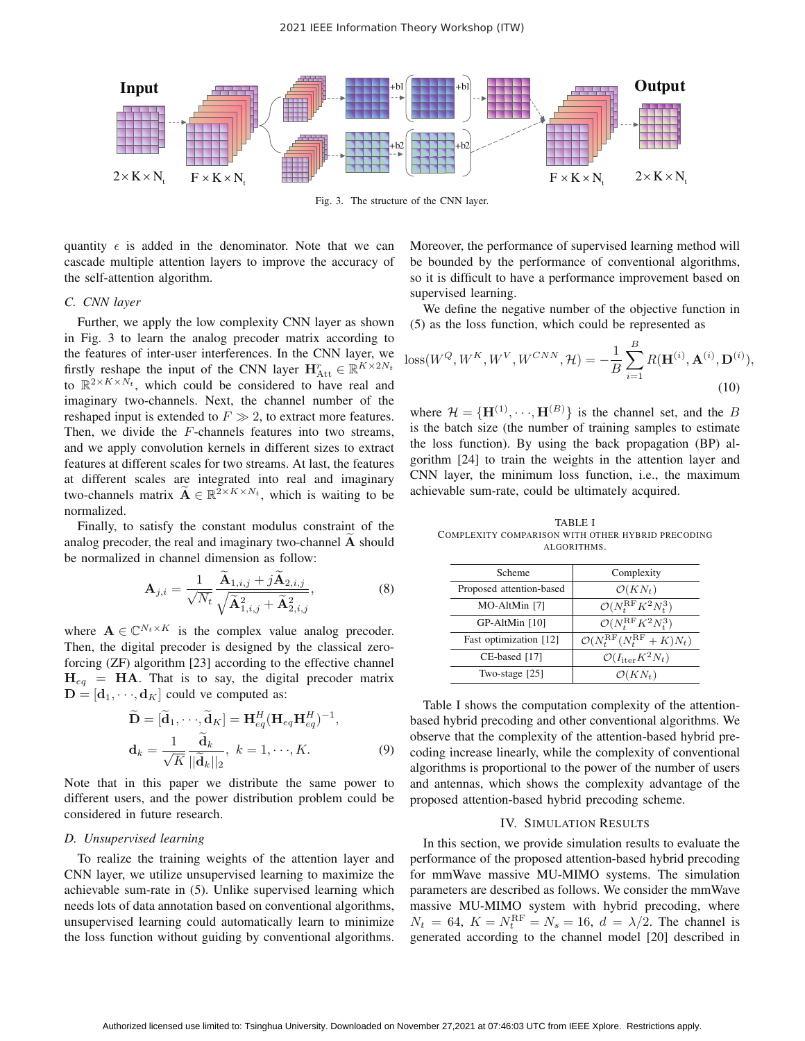

Fig. 3. The structure of the CNN layer.

quantity  $\epsilon$  is added in the denominator. Note that we can cascade multiple attention layers to improve the accuracy of the self-attention algorithm.

## *C. CNN layer*

Further, we apply the low complexity CNN layer as shown in Fig. 3 to learn the analog precoder matrix according to the features of inter-user interferences. In the CNN layer, we firstly reshape the input of the CNN layer  $\mathbf{H}_{\text{Att}}^r \in \mathbb{R}^{K \times 2N_t}$ to  $\overline{\mathbb{R}}^{2 \times K \times N_t}$ , which could be considered to have real and imaginary two-channels. Next, the channel number of the reshaped input is extended to  $F \gg 2$ , to extract more features. Then, we divide the F-channels features into two streams, and we apply convolution kernels in different sizes to extract features at different scales for two streams. At last, the features at different scales are integrated into real and imaginary two-channels matrix  $\widetilde{\mathbf{A}} \in \mathbb{R}^{2 \times K \times N_t}$ , which is waiting to be normalized.

Finally, to satisfy the constant modulus constraint of the analog precoder, the real and imaginary two-channel **A** should be normalized in channel dimension as follow:

$$
\mathbf{A}_{j,i} = \frac{1}{\sqrt{N_t}} \frac{\widetilde{\mathbf{A}}_{1,i,j} + j\widetilde{\mathbf{A}}_{2,i,j}}{\sqrt{\widetilde{\mathbf{A}}_{1,i,j}^2 + \widetilde{\mathbf{A}}_{2,i,j}^2}},
$$
(8)

where  $\mathbf{A} \in \mathbb{C}^{N_t \times K}$  is the complex value analog precoder. Then, the digital precoder is designed by the classical zeroforcing (ZF) algorithm [23] according to the effective channel  $H_{eq}$  = **HA**. That is to say, the digital precoder matrix  $\mathbf{D} = [\mathbf{d}_1, \cdots, \mathbf{d}_K]$  could ve computed as:

$$
\widetilde{\mathbf{D}} = [\widetilde{\mathbf{d}}_1, \cdots, \widetilde{\mathbf{d}}_K] = \mathbf{H}_{eq}^H (\mathbf{H}_{eq} \mathbf{H}_{eq}^H)^{-1},
$$
  
\n
$$
\mathbf{d}_k = \frac{1}{\sqrt{K}} \frac{\widetilde{\mathbf{d}}_k}{||\widetilde{\mathbf{d}}_k||_2}, \ k = 1, \cdots, K.
$$
\n(9)

Note that in this paper we distribute the same power to different users, and the power distribution problem could be considered in future research.

#### *D. Unsupervised learning*

To realize the training weights of the attention layer and CNN layer, we utilize unsupervised learning to maximize the achievable sum-rate in (5). Unlike supervised learning which needs lots of data annotation based on conventional algorithms, unsupervised learning could automatically learn to minimize the loss function without guiding by conventional algorithms. Moreover, the performance of supervised learning method will be bounded by the performance of conventional algorithms, so it is difficult to have a performance improvement based on supervised learning.

We define the negative number of the objective function in (5) as the loss function, which could be represented as

loss
$$
(W^Q, W^K, W^V, W^{CNN}, \mathcal{H}) = -\frac{1}{B} \sum_{i=1}^B R(\mathbf{H}^{(i)}, \mathbf{A}^{(i)}, \mathbf{D}^{(i)}),
$$
  
(10)

where  $\mathcal{H} = {\{\mathbf{H}^{(1)}, \dots, \mathbf{H}^{(B)}\}}$  is the channel set, and the B is the batch size (the number of training samples to estimate the loss function). By using the back propagation (BP) algorithm [24] to train the weights in the attention layer and CNN layer, the minimum loss function, i.e., the maximum achievable sum-rate, could be ultimately acquired.

TABLE I COMPLEXITY COMPARISON WITH OTHER HYBRID PRECODING ALGORITHMS.

| Scheme                   | Complexity                                           |
|--------------------------|------------------------------------------------------|
| Proposed attention-based | $\mathcal{O}(KN_t)$                                  |
| MO-AltMin [7]            | $\mathcal{O}(N_t^{\text{RF}} K^2 N_t^3)$             |
| GP-AltMin [10]           | $\mathcal{O}(N_t^{\text{RF}} K^2 N_t^3)$             |
| Fast optimization [12]   | $\mathcal{O}(N_t^{\text{RF}}(N_t^{\text{RF}}+K)N_t)$ |
| CE-based [17]            | $\mathcal{O}(I_{\text{iter}}K^2N_t)$                 |
| Two-stage $[25]$         | $\mathcal{O}(KN_t)$                                  |

Table I shows the computation complexity of the attentionbased hybrid precoding and other conventional algorithms. We observe that the complexity of the attention-based hybrid precoding increase linearly, while the complexity of conventional algorithms is proportional to the power of the number of users and antennas, which shows the complexity advantage of the proposed attention-based hybrid precoding scheme.

## IV. SIMULATION RESULTS

In this section, we provide simulation results to evaluate the performance of the proposed attention-based hybrid precoding for mmWave massive MU-MIMO systems. The simulation parameters are described as follows. We consider the mmWave massive MU-MIMO system with hybrid precoding, where  $N_t = 64$ ,  $K = N_t^{\text{RF}} = N_s = 16$ ,  $d = \lambda/2$ . The channel is generated according to the channel model [20] described in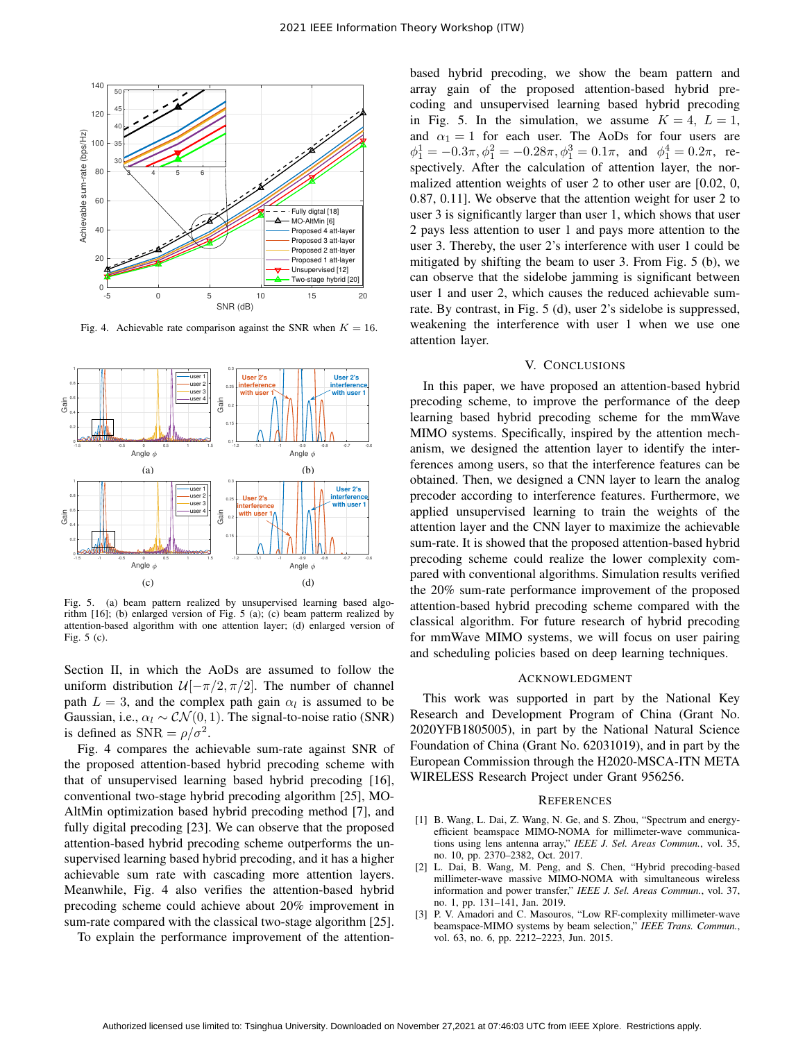

Fig. 4. Achievable rate comparison against the SNR when  $K = 16$ .



Fig. 5. (a) beam pattern realized by unsupervised learning based algorithm [16]; (b) enlarged version of Fig. 5 (a); (c) beam patterm realized by attention-based algorithm with one attention layer; (d) enlarged version of Fig. 5 (c).

Section II, in which the AoDs are assumed to follow the uniform distribution  $\mathcal{U}[-\pi/2, \pi/2]$ . The number of channel path  $L = 3$ , and the complex path gain  $\alpha_l$  is assumed to be Gaussian, i.e.,  $\alpha_l \sim \mathcal{CN}(0, 1)$ . The signal-to-noise ratio (SNR) is defined as  $SNR = \rho/\sigma^2$ .

Fig. 4 compares the achievable sum-rate against SNR of the proposed attention-based hybrid precoding scheme with that of unsupervised learning based hybrid precoding [16], conventional two-stage hybrid precoding algorithm [25], MO-AltMin optimization based hybrid precoding method [7], and fully digital precoding [23]. We can observe that the proposed attention-based hybrid precoding scheme outperforms the unsupervised learning based hybrid precoding, and it has a higher achievable sum rate with cascading more attention layers. Meanwhile, Fig. 4 also verifies the attention-based hybrid precoding scheme could achieve about 20% improvement in sum-rate compared with the classical two-stage algorithm [25].

To explain the performance improvement of the attention-

based hybrid precoding, we show the beam pattern and array gain of the proposed attention-based hybrid precoding and unsupervised learning based hybrid precoding in Fig. 5. In the simulation, we assume  $K = 4$ ,  $L = 1$ , and  $\alpha_1 = 1$  for each user. The AoDs for four users are  $\phi_1^1 = -0.3\pi, \phi_1^2 = -0.28\pi, \phi_1^3 = 0.1\pi$ , and  $\phi_1^4 = 0.2\pi$ , respectively. After the calculation of attention layer, the normalized attention weights of user 2 to other user are [0.02, 0, 0.87, 0.11]. We observe that the attention weight for user 2 to user 3 is significantly larger than user 1, which shows that user 2 pays less attention to user 1 and pays more attention to the user 3. Thereby, the user 2's interference with user 1 could be mitigated by shifting the beam to user 3. From Fig. 5 (b), we can observe that the sidelobe jamming is significant between user 1 and user 2, which causes the reduced achievable sumrate. By contrast, in Fig. 5 (d), user 2's sidelobe is suppressed, weakening the interference with user 1 when we use one attention layer.

### V. CONCLUSIONS

In this paper, we have proposed an attention-based hybrid precoding scheme, to improve the performance of the deep learning based hybrid precoding scheme for the mmWave MIMO systems. Specifically, inspired by the attention mechanism, we designed the attention layer to identify the interferences among users, so that the interference features can be obtained. Then, we designed a CNN layer to learn the analog precoder according to interference features. Furthermore, we applied unsupervised learning to train the weights of the attention layer and the CNN layer to maximize the achievable sum-rate. It is showed that the proposed attention-based hybrid precoding scheme could realize the lower complexity compared with conventional algorithms. Simulation results verified the 20% sum-rate performance improvement of the proposed attention-based hybrid precoding scheme compared with the classical algorithm. For future research of hybrid precoding for mmWave MIMO systems, we will focus on user pairing and scheduling policies based on deep learning techniques.

## ACKNOWLEDGMENT

This work was supported in part by the National Key Research and Development Program of China (Grant No. 2020YFB1805005), in part by the National Natural Science Foundation of China (Grant No. 62031019), and in part by the European Commission through the H2020-MSCA-ITN META WIRELESS Research Project under Grant 956256.

#### **REFERENCES**

- [1] B. Wang, L. Dai, Z. Wang, N. Ge, and S. Zhou, "Spectrum and energyefficient beamspace MIMO-NOMA for millimeter-wave communications using lens antenna array," *IEEE J. Sel. Areas Commun.*, vol. 35, no. 10, pp. 2370–2382, Oct. 2017.
- [2] L. Dai, B. Wang, M. Peng, and S. Chen, "Hybrid precoding-based millimeter-wave massive MIMO-NOMA with simultaneous wireless information and power transfer," *IEEE J. Sel. Areas Commun.*, vol. 37, no. 1, pp. 131–141, Jan. 2019.
- [3] P. V. Amadori and C. Masouros, "Low RF-complexity millimeter-wave beamspace-MIMO systems by beam selection," *IEEE Trans. Commun.*, vol. 63, no. 6, pp. 2212–2223, Jun. 2015.